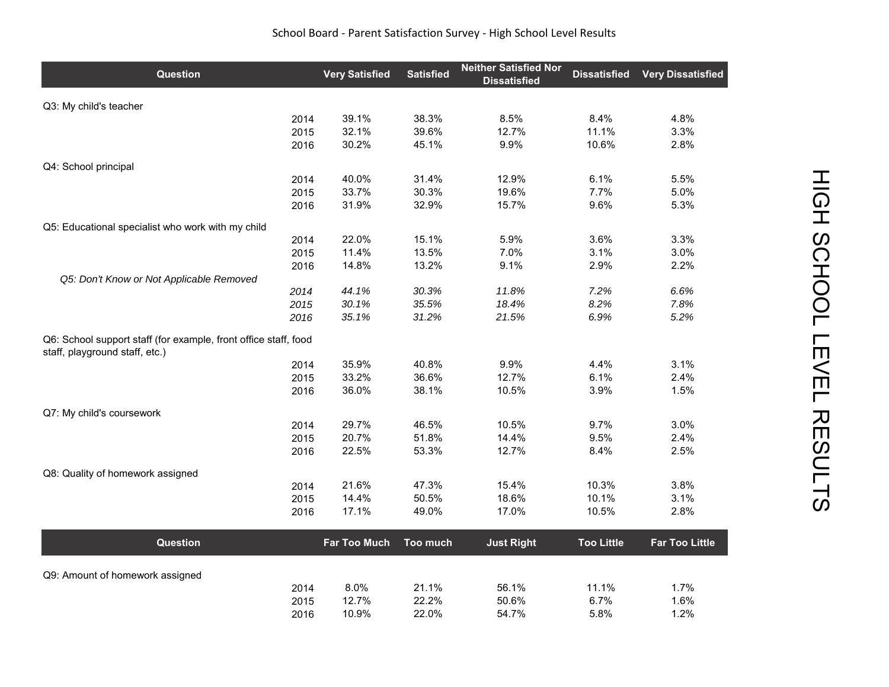## School Board ‐ Parent Satisfaction Survey ‐ High School Level Results

| Question                                                                                          |      | <b>Very Satisfied</b> | <b>Satisfied</b> | <b>Neither Satisfied Nor</b><br><b>Dissatisfied</b> | <b>Dissatisfied</b> | <b>Very Dissatisfied</b> |
|---------------------------------------------------------------------------------------------------|------|-----------------------|------------------|-----------------------------------------------------|---------------------|--------------------------|
| Q3: My child's teacher                                                                            |      |                       |                  |                                                     |                     |                          |
|                                                                                                   | 2014 | 39.1%                 | 38.3%            | 8.5%                                                | 8.4%                | 4.8%                     |
|                                                                                                   | 2015 | 32.1%                 | 39.6%            | 12.7%                                               | 11.1%               | 3.3%                     |
|                                                                                                   | 2016 | 30.2%                 | 45.1%            | 9.9%                                                | 10.6%               | 2.8%                     |
| Q4: School principal                                                                              |      |                       |                  |                                                     |                     |                          |
|                                                                                                   | 2014 | 40.0%                 | 31.4%            | 12.9%                                               | 6.1%                | 5.5%                     |
|                                                                                                   | 2015 | 33.7%                 | 30.3%            | 19.6%                                               | 7.7%                | 5.0%                     |
|                                                                                                   | 2016 | 31.9%                 | 32.9%            | 15.7%                                               | 9.6%                | 5.3%                     |
| Q5: Educational specialist who work with my child                                                 |      |                       |                  |                                                     |                     |                          |
|                                                                                                   | 2014 | 22.0%                 | 15.1%            | 5.9%                                                | 3.6%                | 3.3%                     |
|                                                                                                   | 2015 | 11.4%                 | 13.5%            | 7.0%                                                | 3.1%                | 3.0%                     |
|                                                                                                   | 2016 | 14.8%                 | 13.2%            | 9.1%                                                | 2.9%                | 2.2%                     |
| Q5: Don't Know or Not Applicable Removed                                                          | 2014 | 44.1%                 | 30.3%            | 11.8%                                               | 7.2%                | 6.6%                     |
|                                                                                                   | 2015 | 30.1%                 | 35.5%            | 18.4%                                               | 8.2%                | 7.8%                     |
|                                                                                                   | 2016 | 35.1%                 | 31.2%            | 21.5%                                               | 6.9%                | 5.2%                     |
| Q6: School support staff (for example, front office staff, food<br>staff, playground staff, etc.) |      |                       |                  |                                                     |                     |                          |
|                                                                                                   | 2014 | 35.9%                 | 40.8%            | 9.9%                                                | 4.4%                | 3.1%                     |
|                                                                                                   | 2015 | 33.2%                 | 36.6%            | 12.7%                                               | 6.1%                | 2.4%                     |
|                                                                                                   | 2016 | 36.0%                 | 38.1%            | 10.5%                                               | 3.9%                | 1.5%                     |
| Q7: My child's coursework                                                                         |      |                       |                  |                                                     |                     |                          |
|                                                                                                   | 2014 | 29.7%                 | 46.5%            | 10.5%                                               | 9.7%                | 3.0%                     |
|                                                                                                   | 2015 | 20.7%                 | 51.8%            | 14.4%                                               | 9.5%                | 2.4%                     |
|                                                                                                   | 2016 | 22.5%                 | 53.3%            | 12.7%                                               | 8.4%                | 2.5%                     |
| Q8: Quality of homework assigned                                                                  |      |                       |                  |                                                     |                     |                          |
|                                                                                                   | 2014 | 21.6%                 | 47.3%            | 15.4%                                               | 10.3%               | 3.8%                     |
|                                                                                                   | 2015 | 14.4%                 | 50.5%            | 18.6%                                               | 10.1%               | 3.1%                     |
|                                                                                                   | 2016 | 17.1%                 | 49.0%            | 17.0%                                               | 10.5%               | 2.8%                     |
| Question                                                                                          |      | <b>Far Too Much</b>   | Too much         | <b>Just Right</b>                                   | <b>Too Little</b>   | <b>Far Too Little</b>    |
|                                                                                                   |      |                       |                  |                                                     |                     |                          |
| Q9: Amount of homework assigned                                                                   | 2014 | 8.0%                  | 21.1%            | 56.1%                                               | 11.1%               | 1.7%                     |
|                                                                                                   | 2015 | 12.7%                 | 22.2%            | 50.6%                                               | 6.7%                | 1.6%                     |
|                                                                                                   | 2016 | 10.9%                 | 22.0%            | 54.7%                                               | 5.8%                | 1.2%                     |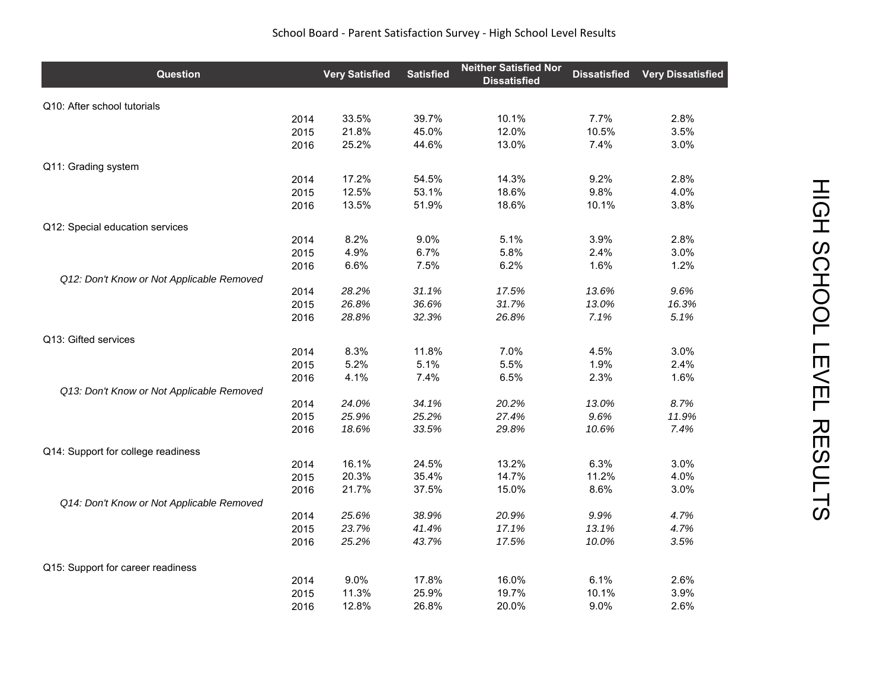## School Board ‐ Parent Satisfaction Survey ‐ High School Level Results

| Question                                  |      | <b>Very Satisfied</b> | <b>Satisfied</b> | <b>Neither Satisfied Nor</b><br><b>Dissatisfied</b> | <b>Dissatisfied</b> | <b>Very Dissatisfied</b> |
|-------------------------------------------|------|-----------------------|------------------|-----------------------------------------------------|---------------------|--------------------------|
| Q10: After school tutorials               |      |                       |                  |                                                     |                     |                          |
|                                           | 2014 | 33.5%                 | 39.7%            | 10.1%                                               | 7.7%                | 2.8%                     |
|                                           | 2015 | 21.8%                 | 45.0%            | 12.0%                                               | 10.5%               | 3.5%                     |
|                                           | 2016 | 25.2%                 | 44.6%            | 13.0%                                               | 7.4%                | 3.0%                     |
| Q11: Grading system                       |      |                       |                  |                                                     |                     |                          |
|                                           | 2014 | 17.2%                 | 54.5%            | 14.3%                                               | 9.2%                | 2.8%                     |
|                                           | 2015 | 12.5%                 | 53.1%            | 18.6%                                               | 9.8%                | 4.0%                     |
|                                           | 2016 | 13.5%                 | 51.9%            | 18.6%                                               | 10.1%               | 3.8%                     |
| Q12: Special education services           |      |                       |                  |                                                     |                     |                          |
|                                           | 2014 | 8.2%                  | 9.0%             | 5.1%                                                | 3.9%                | 2.8%                     |
|                                           | 2015 | 4.9%                  | 6.7%             | 5.8%                                                | 2.4%                | 3.0%                     |
|                                           | 2016 | 6.6%                  | 7.5%             | 6.2%                                                | 1.6%                | 1.2%                     |
| Q12: Don't Know or Not Applicable Removed | 2014 | 28.2%                 | 31.1%            | 17.5%                                               | 13.6%               | 9.6%                     |
|                                           | 2015 | 26.8%                 | 36.6%            | 31.7%                                               | 13.0%               | 16.3%                    |
|                                           | 2016 | 28.8%                 | 32.3%            | 26.8%                                               | 7.1%                | 5.1%                     |
|                                           |      |                       |                  |                                                     |                     |                          |
| Q13: Gifted services                      |      |                       |                  |                                                     |                     |                          |
|                                           | 2014 | 8.3%                  | 11.8%            | 7.0%                                                | 4.5%                | 3.0%                     |
|                                           | 2015 | 5.2%                  | 5.1%             | 5.5%                                                | 1.9%                | 2.4%                     |
|                                           | 2016 | 4.1%                  | 7.4%             | 6.5%                                                | 2.3%                | 1.6%                     |
| Q13: Don't Know or Not Applicable Removed | 2014 | 24.0%                 | 34.1%            | 20.2%                                               | 13.0%               | 8.7%                     |
|                                           | 2015 | 25.9%                 | 25.2%            | 27.4%                                               | 9.6%                | 11.9%                    |
|                                           | 2016 | 18.6%                 | 33.5%            | 29.8%                                               | 10.6%               | 7.4%                     |
|                                           |      |                       |                  |                                                     |                     |                          |
| Q14: Support for college readiness        |      |                       |                  |                                                     |                     |                          |
|                                           | 2014 | 16.1%                 | 24.5%            | 13.2%                                               | 6.3%                | 3.0%                     |
|                                           | 2015 | 20.3%                 | 35.4%            | 14.7%                                               | 11.2%               | 4.0%                     |
|                                           | 2016 | 21.7%                 | 37.5%            | 15.0%                                               | 8.6%                | 3.0%                     |
| Q14: Don't Know or Not Applicable Removed |      |                       |                  |                                                     |                     |                          |
|                                           | 2014 | 25.6%                 | 38.9%            | 20.9%                                               | 9.9%                | 4.7%                     |
|                                           | 2015 | 23.7%                 | 41.4%            | 17.1%                                               | 13.1%               | 4.7%                     |
|                                           | 2016 | 25.2%                 | 43.7%            | 17.5%                                               | 10.0%               | 3.5%                     |
| Q15: Support for career readiness         |      |                       |                  |                                                     |                     |                          |
|                                           | 2014 | 9.0%                  | 17.8%            | 16.0%                                               | 6.1%                | 2.6%                     |
|                                           | 2015 | 11.3%                 | 25.9%            | 19.7%                                               | 10.1%               | 3.9%                     |
|                                           | 2016 | 12.8%                 | 26.8%            | 20.0%                                               | 9.0%                | 2.6%                     |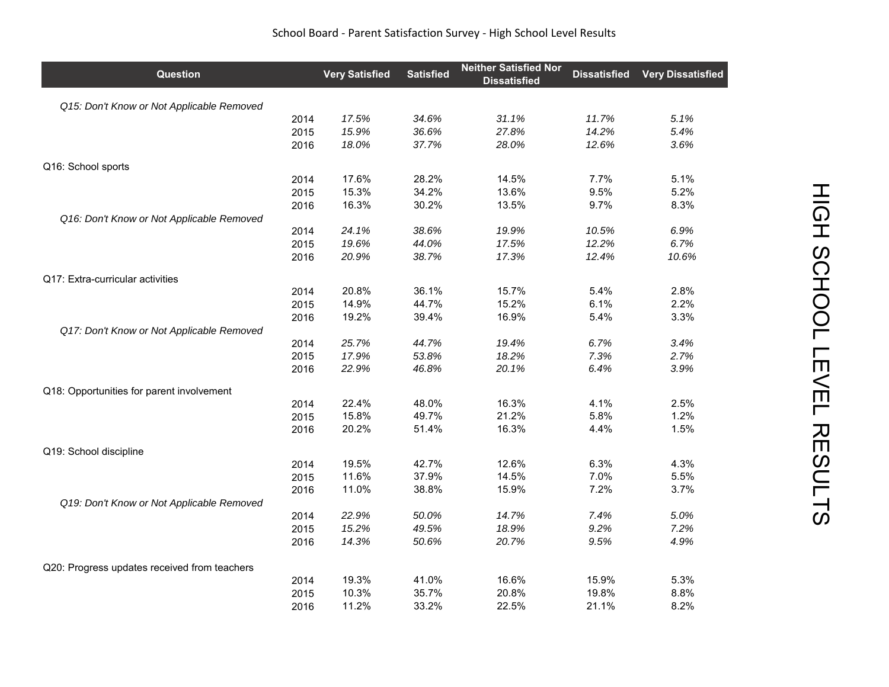| Question                                     |      | <b>Very Satisfied</b> | <b>Satisfied</b> | <b>Neither Satisfied Nor</b><br><b>Dissatisfied</b> | <b>Dissatisfied</b> | <b>Very Dissatisfied</b> |
|----------------------------------------------|------|-----------------------|------------------|-----------------------------------------------------|---------------------|--------------------------|
| Q15: Don't Know or Not Applicable Removed    |      |                       |                  |                                                     |                     |                          |
|                                              | 2014 | 17.5%                 | 34.6%            | 31.1%                                               | 11.7%               | 5.1%                     |
|                                              | 2015 | 15.9%                 | 36.6%            | 27.8%                                               | 14.2%               | 5.4%                     |
|                                              | 2016 | 18.0%                 | 37.7%            | 28.0%                                               | 12.6%               | 3.6%                     |
| Q16: School sports                           |      |                       |                  |                                                     |                     |                          |
|                                              | 2014 | 17.6%                 | 28.2%            | 14.5%                                               | 7.7%                | 5.1%                     |
|                                              | 2015 | 15.3%                 | 34.2%            | 13.6%                                               | 9.5%                | 5.2%                     |
|                                              | 2016 | 16.3%                 | 30.2%            | 13.5%                                               | 9.7%                | 8.3%                     |
| Q16: Don't Know or Not Applicable Removed    |      |                       |                  |                                                     |                     |                          |
|                                              | 2014 | 24.1%                 | 38.6%            | 19.9%                                               | 10.5%               | 6.9%                     |
|                                              | 2015 | 19.6%                 | 44.0%            | 17.5%                                               | 12.2%               | 6.7%                     |
|                                              | 2016 | 20.9%                 | 38.7%            | 17.3%                                               | 12.4%               | 10.6%                    |
| Q17: Extra-curricular activities             |      |                       |                  |                                                     |                     |                          |
|                                              | 2014 | 20.8%                 | 36.1%            | 15.7%                                               | 5.4%                | 2.8%                     |
|                                              | 2015 | 14.9%                 | 44.7%            | 15.2%                                               | 6.1%                | 2.2%                     |
|                                              | 2016 | 19.2%                 | 39.4%            | 16.9%                                               | 5.4%                | 3.3%                     |
| Q17: Don't Know or Not Applicable Removed    |      |                       |                  |                                                     |                     |                          |
|                                              | 2014 | 25.7%                 | 44.7%            | 19.4%                                               | 6.7%                | 3.4%                     |
|                                              | 2015 | 17.9%                 | 53.8%            | 18.2%                                               | 7.3%                | 2.7%                     |
|                                              | 2016 | 22.9%                 | 46.8%            | 20.1%                                               | 6.4%                | 3.9%                     |
| Q18: Opportunities for parent involvement    |      |                       |                  |                                                     |                     |                          |
|                                              | 2014 | 22.4%                 | 48.0%            | 16.3%                                               | 4.1%                | 2.5%                     |
|                                              | 2015 | 15.8%                 | 49.7%            | 21.2%                                               | 5.8%                | 1.2%                     |
|                                              | 2016 | 20.2%                 | 51.4%            | 16.3%                                               | 4.4%                | 1.5%                     |
| Q19: School discipline                       |      |                       |                  |                                                     |                     |                          |
|                                              | 2014 | 19.5%                 | 42.7%            | 12.6%                                               | 6.3%                | 4.3%                     |
|                                              | 2015 | 11.6%                 | 37.9%            | 14.5%                                               | 7.0%                | 5.5%                     |
|                                              | 2016 | 11.0%                 | 38.8%            | 15.9%                                               | 7.2%                | 3.7%                     |
| Q19: Don't Know or Not Applicable Removed    |      |                       |                  |                                                     |                     |                          |
|                                              | 2014 | 22.9%                 | 50.0%            | 14.7%                                               | 7.4%                | 5.0%                     |
|                                              | 2015 | 15.2%                 | 49.5%            | 18.9%                                               | 9.2%                | 7.2%                     |
|                                              | 2016 | 14.3%                 | 50.6%            | 20.7%                                               | 9.5%                | 4.9%                     |
| Q20: Progress updates received from teachers |      |                       |                  |                                                     |                     |                          |
|                                              | 2014 | 19.3%                 | 41.0%            | 16.6%                                               | 15.9%               | 5.3%                     |
|                                              | 2015 | 10.3%                 | 35.7%            | 20.8%                                               | 19.8%               | 8.8%                     |
|                                              | 2016 | 11.2%                 | 33.2%            | 22.5%                                               | 21.1%               | 8.2%                     |

## School Board ‐ Parent Satisfaction Survey ‐ High School Level Results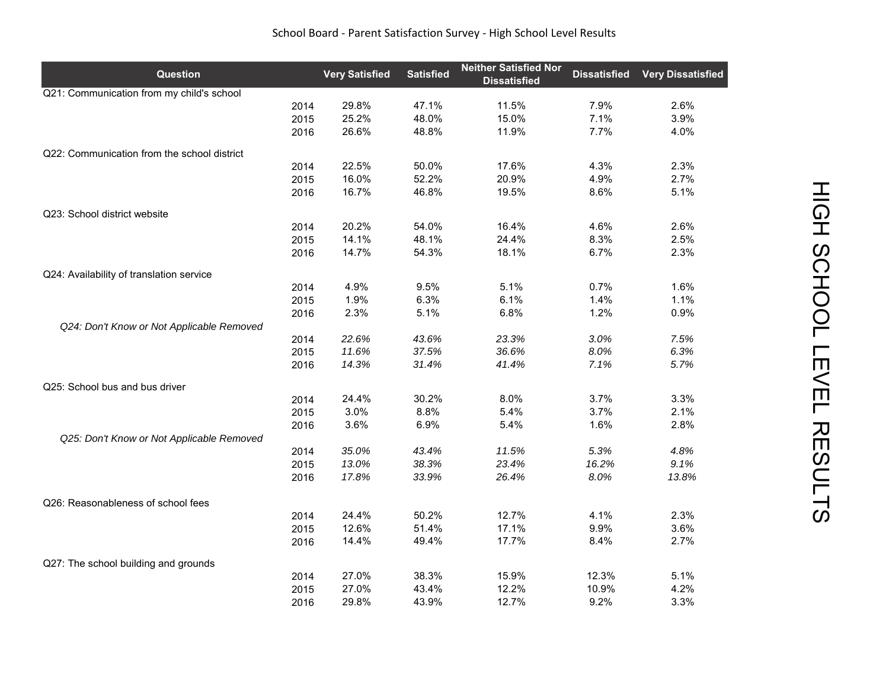| School Board - Parent Satisfaction Survey - High School Level Results |  |
|-----------------------------------------------------------------------|--|
|-----------------------------------------------------------------------|--|

| Q21: Communication from my child's school<br>29.8%<br>47.1%<br>11.5%<br>7.9%<br>2.6%<br>2014<br>25.2%<br>48.0%<br>15.0%<br>7.1%<br>3.9%<br>2015<br>26.6%<br>48.8%<br>11.9%<br>7.7%<br>4.0%<br>2016<br>Q22: Communication from the school district<br>22.5%<br>50.0%<br>2.3%<br>2014<br>17.6%<br>4.3%<br>16.0%<br>2.7%<br>52.2%<br>20.9%<br>4.9%<br>2015<br>16.7%<br>46.8%<br>19.5%<br>8.6%<br>5.1%<br>2016<br>Q23: School district website<br>20.2%<br>54.0%<br>16.4%<br>4.6%<br>2.6%<br>2014<br>14.1%<br>48.1%<br>24.4%<br>8.3%<br>2.5%<br>2015<br>14.7%<br>54.3%<br>18.1%<br>2.3%<br>2016<br>6.7%<br>Q24: Availability of translation service<br>4.9%<br>9.5%<br>5.1%<br>0.7%<br>1.6%<br>2014<br>1.9%<br>2015<br>6.3%<br>6.1%<br>1.4%<br>1.1%<br>2.3%<br>5.1%<br>6.8%<br>1.2%<br>0.9%<br>2016<br>Q24: Don't Know or Not Applicable Removed<br>2014<br>22.6%<br>43.6%<br>23.3%<br>3.0%<br>7.5%<br>11.6%<br>37.5%<br>36.6%<br>8.0%<br>6.3%<br>2015<br>5.7%<br>2016<br>14.3%<br>31.4%<br>41.4%<br>7.1%<br>Q25: School bus and bus driver<br>24.4%<br>30.2%<br>8.0%<br>3.7%<br>3.3%<br>2014<br>3.0%<br>8.8%<br>5.4%<br>3.7%<br>2.1%<br>2015<br>3.6%<br>6.9%<br>5.4%<br>1.6%<br>2.8%<br>2016<br>Q25: Don't Know or Not Applicable Removed<br>35.0%<br>4.8%<br>2014<br>43.4%<br>11.5%<br>5.3%<br>13.0%<br>38.3%<br>23.4%<br>9.1%<br>2015<br>16.2%<br>33.9%<br>17.8%<br>26.4%<br>8.0%<br>13.8%<br>2016<br>Q26: Reasonableness of school fees<br>2.3%<br>24.4%<br>50.2%<br>12.7%<br>4.1%<br>2014<br>12.6%<br>51.4%<br>17.1%<br>9.9%<br>3.6%<br>2015<br>49.4%<br>17.7%<br>14.4%<br>8.4%<br>2.7%<br>2016<br>Q27: The school building and grounds<br>27.0%<br>38.3%<br>15.9%<br>12.3%<br>5.1%<br>2014<br>27.0%<br>43.4%<br>12.2%<br>4.2%<br>2015<br>10.9%<br>2016 | Question | <b>Very Satisfied</b> | <b>Satisfied</b> | <b>Neither Satisfied Nor</b><br><b>Dissatisfied</b> | <b>Dissatisfied</b> | <b>Very Dissatisfied</b> |
|----------------------------------------------------------------------------------------------------------------------------------------------------------------------------------------------------------------------------------------------------------------------------------------------------------------------------------------------------------------------------------------------------------------------------------------------------------------------------------------------------------------------------------------------------------------------------------------------------------------------------------------------------------------------------------------------------------------------------------------------------------------------------------------------------------------------------------------------------------------------------------------------------------------------------------------------------------------------------------------------------------------------------------------------------------------------------------------------------------------------------------------------------------------------------------------------------------------------------------------------------------------------------------------------------------------------------------------------------------------------------------------------------------------------------------------------------------------------------------------------------------------------------------------------------------------------------------------------------------------------------------------------------------------------------------------------------------------------------------------------------------|----------|-----------------------|------------------|-----------------------------------------------------|---------------------|--------------------------|
|                                                                                                                                                                                                                                                                                                                                                                                                                                                                                                                                                                                                                                                                                                                                                                                                                                                                                                                                                                                                                                                                                                                                                                                                                                                                                                                                                                                                                                                                                                                                                                                                                                                                                                                                                          |          |                       |                  |                                                     |                     |                          |
|                                                                                                                                                                                                                                                                                                                                                                                                                                                                                                                                                                                                                                                                                                                                                                                                                                                                                                                                                                                                                                                                                                                                                                                                                                                                                                                                                                                                                                                                                                                                                                                                                                                                                                                                                          |          |                       |                  |                                                     |                     |                          |
|                                                                                                                                                                                                                                                                                                                                                                                                                                                                                                                                                                                                                                                                                                                                                                                                                                                                                                                                                                                                                                                                                                                                                                                                                                                                                                                                                                                                                                                                                                                                                                                                                                                                                                                                                          |          |                       |                  |                                                     |                     |                          |
|                                                                                                                                                                                                                                                                                                                                                                                                                                                                                                                                                                                                                                                                                                                                                                                                                                                                                                                                                                                                                                                                                                                                                                                                                                                                                                                                                                                                                                                                                                                                                                                                                                                                                                                                                          |          |                       |                  |                                                     |                     |                          |
|                                                                                                                                                                                                                                                                                                                                                                                                                                                                                                                                                                                                                                                                                                                                                                                                                                                                                                                                                                                                                                                                                                                                                                                                                                                                                                                                                                                                                                                                                                                                                                                                                                                                                                                                                          |          |                       |                  |                                                     |                     |                          |
|                                                                                                                                                                                                                                                                                                                                                                                                                                                                                                                                                                                                                                                                                                                                                                                                                                                                                                                                                                                                                                                                                                                                                                                                                                                                                                                                                                                                                                                                                                                                                                                                                                                                                                                                                          |          |                       |                  |                                                     |                     |                          |
|                                                                                                                                                                                                                                                                                                                                                                                                                                                                                                                                                                                                                                                                                                                                                                                                                                                                                                                                                                                                                                                                                                                                                                                                                                                                                                                                                                                                                                                                                                                                                                                                                                                                                                                                                          |          |                       |                  |                                                     |                     |                          |
|                                                                                                                                                                                                                                                                                                                                                                                                                                                                                                                                                                                                                                                                                                                                                                                                                                                                                                                                                                                                                                                                                                                                                                                                                                                                                                                                                                                                                                                                                                                                                                                                                                                                                                                                                          |          |                       |                  |                                                     |                     |                          |
|                                                                                                                                                                                                                                                                                                                                                                                                                                                                                                                                                                                                                                                                                                                                                                                                                                                                                                                                                                                                                                                                                                                                                                                                                                                                                                                                                                                                                                                                                                                                                                                                                                                                                                                                                          |          |                       |                  |                                                     |                     |                          |
|                                                                                                                                                                                                                                                                                                                                                                                                                                                                                                                                                                                                                                                                                                                                                                                                                                                                                                                                                                                                                                                                                                                                                                                                                                                                                                                                                                                                                                                                                                                                                                                                                                                                                                                                                          |          |                       |                  |                                                     |                     |                          |
|                                                                                                                                                                                                                                                                                                                                                                                                                                                                                                                                                                                                                                                                                                                                                                                                                                                                                                                                                                                                                                                                                                                                                                                                                                                                                                                                                                                                                                                                                                                                                                                                                                                                                                                                                          |          |                       |                  |                                                     |                     |                          |
|                                                                                                                                                                                                                                                                                                                                                                                                                                                                                                                                                                                                                                                                                                                                                                                                                                                                                                                                                                                                                                                                                                                                                                                                                                                                                                                                                                                                                                                                                                                                                                                                                                                                                                                                                          |          |                       |                  |                                                     |                     |                          |
|                                                                                                                                                                                                                                                                                                                                                                                                                                                                                                                                                                                                                                                                                                                                                                                                                                                                                                                                                                                                                                                                                                                                                                                                                                                                                                                                                                                                                                                                                                                                                                                                                                                                                                                                                          |          |                       |                  |                                                     |                     |                          |
|                                                                                                                                                                                                                                                                                                                                                                                                                                                                                                                                                                                                                                                                                                                                                                                                                                                                                                                                                                                                                                                                                                                                                                                                                                                                                                                                                                                                                                                                                                                                                                                                                                                                                                                                                          |          |                       |                  |                                                     |                     |                          |
|                                                                                                                                                                                                                                                                                                                                                                                                                                                                                                                                                                                                                                                                                                                                                                                                                                                                                                                                                                                                                                                                                                                                                                                                                                                                                                                                                                                                                                                                                                                                                                                                                                                                                                                                                          |          |                       |                  |                                                     |                     |                          |
|                                                                                                                                                                                                                                                                                                                                                                                                                                                                                                                                                                                                                                                                                                                                                                                                                                                                                                                                                                                                                                                                                                                                                                                                                                                                                                                                                                                                                                                                                                                                                                                                                                                                                                                                                          |          |                       |                  |                                                     |                     |                          |
|                                                                                                                                                                                                                                                                                                                                                                                                                                                                                                                                                                                                                                                                                                                                                                                                                                                                                                                                                                                                                                                                                                                                                                                                                                                                                                                                                                                                                                                                                                                                                                                                                                                                                                                                                          |          |                       |                  |                                                     |                     |                          |
|                                                                                                                                                                                                                                                                                                                                                                                                                                                                                                                                                                                                                                                                                                                                                                                                                                                                                                                                                                                                                                                                                                                                                                                                                                                                                                                                                                                                                                                                                                                                                                                                                                                                                                                                                          |          |                       |                  |                                                     |                     |                          |
|                                                                                                                                                                                                                                                                                                                                                                                                                                                                                                                                                                                                                                                                                                                                                                                                                                                                                                                                                                                                                                                                                                                                                                                                                                                                                                                                                                                                                                                                                                                                                                                                                                                                                                                                                          |          |                       |                  |                                                     |                     |                          |
|                                                                                                                                                                                                                                                                                                                                                                                                                                                                                                                                                                                                                                                                                                                                                                                                                                                                                                                                                                                                                                                                                                                                                                                                                                                                                                                                                                                                                                                                                                                                                                                                                                                                                                                                                          |          |                       |                  |                                                     |                     |                          |
|                                                                                                                                                                                                                                                                                                                                                                                                                                                                                                                                                                                                                                                                                                                                                                                                                                                                                                                                                                                                                                                                                                                                                                                                                                                                                                                                                                                                                                                                                                                                                                                                                                                                                                                                                          |          |                       |                  |                                                     |                     |                          |
|                                                                                                                                                                                                                                                                                                                                                                                                                                                                                                                                                                                                                                                                                                                                                                                                                                                                                                                                                                                                                                                                                                                                                                                                                                                                                                                                                                                                                                                                                                                                                                                                                                                                                                                                                          |          |                       |                  |                                                     |                     |                          |
|                                                                                                                                                                                                                                                                                                                                                                                                                                                                                                                                                                                                                                                                                                                                                                                                                                                                                                                                                                                                                                                                                                                                                                                                                                                                                                                                                                                                                                                                                                                                                                                                                                                                                                                                                          |          |                       |                  |                                                     |                     |                          |
|                                                                                                                                                                                                                                                                                                                                                                                                                                                                                                                                                                                                                                                                                                                                                                                                                                                                                                                                                                                                                                                                                                                                                                                                                                                                                                                                                                                                                                                                                                                                                                                                                                                                                                                                                          |          |                       |                  |                                                     |                     |                          |
|                                                                                                                                                                                                                                                                                                                                                                                                                                                                                                                                                                                                                                                                                                                                                                                                                                                                                                                                                                                                                                                                                                                                                                                                                                                                                                                                                                                                                                                                                                                                                                                                                                                                                                                                                          |          |                       |                  |                                                     |                     |                          |
|                                                                                                                                                                                                                                                                                                                                                                                                                                                                                                                                                                                                                                                                                                                                                                                                                                                                                                                                                                                                                                                                                                                                                                                                                                                                                                                                                                                                                                                                                                                                                                                                                                                                                                                                                          |          |                       |                  |                                                     |                     |                          |
|                                                                                                                                                                                                                                                                                                                                                                                                                                                                                                                                                                                                                                                                                                                                                                                                                                                                                                                                                                                                                                                                                                                                                                                                                                                                                                                                                                                                                                                                                                                                                                                                                                                                                                                                                          |          |                       |                  |                                                     |                     |                          |
|                                                                                                                                                                                                                                                                                                                                                                                                                                                                                                                                                                                                                                                                                                                                                                                                                                                                                                                                                                                                                                                                                                                                                                                                                                                                                                                                                                                                                                                                                                                                                                                                                                                                                                                                                          |          |                       |                  |                                                     |                     |                          |
|                                                                                                                                                                                                                                                                                                                                                                                                                                                                                                                                                                                                                                                                                                                                                                                                                                                                                                                                                                                                                                                                                                                                                                                                                                                                                                                                                                                                                                                                                                                                                                                                                                                                                                                                                          |          |                       |                  |                                                     |                     |                          |
|                                                                                                                                                                                                                                                                                                                                                                                                                                                                                                                                                                                                                                                                                                                                                                                                                                                                                                                                                                                                                                                                                                                                                                                                                                                                                                                                                                                                                                                                                                                                                                                                                                                                                                                                                          |          |                       |                  |                                                     |                     |                          |
|                                                                                                                                                                                                                                                                                                                                                                                                                                                                                                                                                                                                                                                                                                                                                                                                                                                                                                                                                                                                                                                                                                                                                                                                                                                                                                                                                                                                                                                                                                                                                                                                                                                                                                                                                          |          |                       |                  |                                                     |                     |                          |
|                                                                                                                                                                                                                                                                                                                                                                                                                                                                                                                                                                                                                                                                                                                                                                                                                                                                                                                                                                                                                                                                                                                                                                                                                                                                                                                                                                                                                                                                                                                                                                                                                                                                                                                                                          |          |                       |                  |                                                     |                     |                          |
|                                                                                                                                                                                                                                                                                                                                                                                                                                                                                                                                                                                                                                                                                                                                                                                                                                                                                                                                                                                                                                                                                                                                                                                                                                                                                                                                                                                                                                                                                                                                                                                                                                                                                                                                                          |          |                       |                  |                                                     |                     |                          |
|                                                                                                                                                                                                                                                                                                                                                                                                                                                                                                                                                                                                                                                                                                                                                                                                                                                                                                                                                                                                                                                                                                                                                                                                                                                                                                                                                                                                                                                                                                                                                                                                                                                                                                                                                          |          |                       |                  |                                                     |                     |                          |
|                                                                                                                                                                                                                                                                                                                                                                                                                                                                                                                                                                                                                                                                                                                                                                                                                                                                                                                                                                                                                                                                                                                                                                                                                                                                                                                                                                                                                                                                                                                                                                                                                                                                                                                                                          |          |                       |                  |                                                     |                     |                          |
|                                                                                                                                                                                                                                                                                                                                                                                                                                                                                                                                                                                                                                                                                                                                                                                                                                                                                                                                                                                                                                                                                                                                                                                                                                                                                                                                                                                                                                                                                                                                                                                                                                                                                                                                                          |          |                       |                  |                                                     |                     |                          |
|                                                                                                                                                                                                                                                                                                                                                                                                                                                                                                                                                                                                                                                                                                                                                                                                                                                                                                                                                                                                                                                                                                                                                                                                                                                                                                                                                                                                                                                                                                                                                                                                                                                                                                                                                          |          | 29.8%                 | 43.9%            | 12.7%                                               | 9.2%                | 3.3%                     |